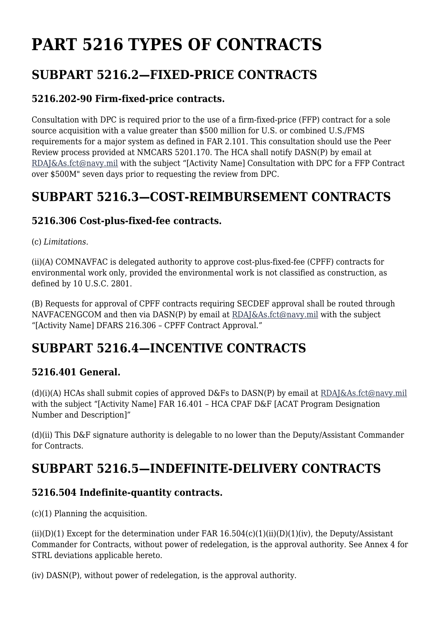# **PART 5216 TYPES OF CONTRACTS**

## **SUBPART 5216.2—FIXED-PRICE CONTRACTS**

### **5216.202-90 Firm-fixed-price contracts.**

Consultation with DPC is required prior to the use of a firm-fixed-price (FFP) contract for a sole source acquisition with a value greater than \$500 million for U.S. or combined U.S./FMS requirements for a major system as defined in FAR 2.101. This consultation should use the Peer Review process provided at NMCARS 5201.170. The HCA shall notify DASN(P) by email at [RDAJ&As.fct@navy.mil](mailto:RDAJ&As.fct@navy.mil) with the subject "[Activity Name] Consultation with DPC for a FFP Contract over \$500M" seven days prior to requesting the review from DPC.

### **SUBPART 5216.3—COST-REIMBURSEMENT CONTRACTS**

#### **5216.306 Cost-plus-fixed-fee contracts.**

#### (c) *Limitations*.

(ii)(A) COMNAVFAC is delegated authority to approve cost-plus-fixed-fee (CPFF) contracts for environmental work only, provided the environmental work is not classified as construction, as defined by 10 U.S.C. 2801.

(B) Requests for approval of CPFF contracts requiring SECDEF approval shall be routed through NAVFACENGCOM and then via DASN(P) by email at [RDAJ&As.fct@navy.mil](mailto:Rdaj&as.fct@navy.mil) with the subject "[Activity Name] DFARS 216.306 – CPFF Contract Approval."

### **SUBPART 5216.4—INCENTIVE CONTRACTS**

#### **5216.401 General.**

(d)(i)(A) HCAs shall submit copies of approved D&Fs to DASN(P) by email at  $RDAJ&As.fct@navy.mil$ with the subject "[Activity Name] FAR 16.401 – HCA CPAF D&F [ACAT Program Designation Number and Description]"

(d)(ii) This D&F signature authority is delegable to no lower than the Deputy/Assistant Commander for Contracts.

### **SUBPART 5216.5—INDEFINITE-DELIVERY CONTRACTS**

#### **5216.504 Indefinite-quantity contracts.**

(c)(1) Planning the acquisition.

(ii)(D)(1) Except for the determination under FAR  $16.504(c)(1)(ii)(D)(1)(iv)$ , the Deputy/Assistant Commander for Contracts, without power of redelegation, is the approval authority. See Annex 4 for STRL deviations applicable hereto.

(iv) DASN(P), without power of redelegation, is the approval authority.